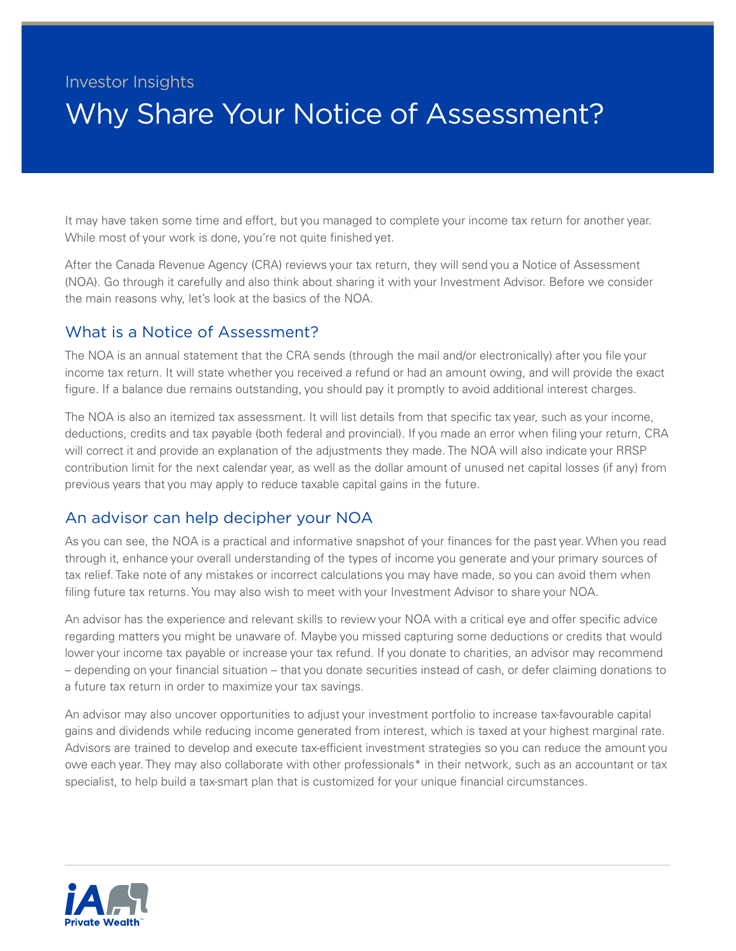## Investor Insights Why Share Your Notice of Assessment?

It may have taken some time and effort, but you managed to complete your income tax return for another year. While most of your work is done, you're not quite finished yet.

After the Canada Revenue Agency (CRA) reviews your tax return, they will send you a Notice of Assessment (NOA). Go through it carefully and also think about sharing it with your Investment Advisor. Before we consider the main reasons why, let's look at the basics of the NOA.

## What is a Notice of Assessment?

The NOA is an annual statement that the CRA sends (through the mail and/or electronically) after you file your income tax return. It will state whether you received a refund or had an amount owing, and will provide the exact figure. If a balance due remains outstanding, you should pay it promptly to avoid additional interest charges.

The NOA is also an itemized tax assessment. It will list details from that specific tax year, such as your income, deductions, credits and tax payable (both federal and provincial). If you made an error when filing your return, CRA will correct it and provide an explanation of the adjustments they made. The NOA will also indicate your RRSP contribution limit for the next calendar year, as well as the dollar amount of unused net capital losses (if any) from previous years that you may apply to reduce taxable capital gains in the future.

## An advisor can help decipher your NOA

As you can see, the NOA is a practical and informative snapshot of your finances for the past year. When you read through it, enhance your overall understanding of the types of income you generate and your primary sources of tax relief. Take note of any mistakes or incorrect calculations you may have made, so you can avoid them when filing future tax returns. You may also wish to meet with your Investment Advisor to share your NOA.

An advisor has the experience and relevant skills to review your NOA with a critical eye and offer specific advice regarding matters you might be unaware of. Maybe you missed capturing some deductions or credits that would lower your income tax payable or increase your tax refund. If you donate to charities, an advisor may recommend – depending on your financial situation – that you donate securities instead of cash, or defer claiming donations to a future tax return in order to maximize your tax savings.

An advisor may also uncover opportunities to adjust your investment portfolio to increase tax-favourable capital gains and dividends while reducing income generated from interest, which is taxed at your highest marginal rate. Advisors are trained to develop and execute tax-efficient investment strategies so you can reduce the amount you owe each year. They may also collaborate with other professionals\* in their network, such as an accountant or tax specialist, to help build a tax-smart plan that is customized for your unique financial circumstances.